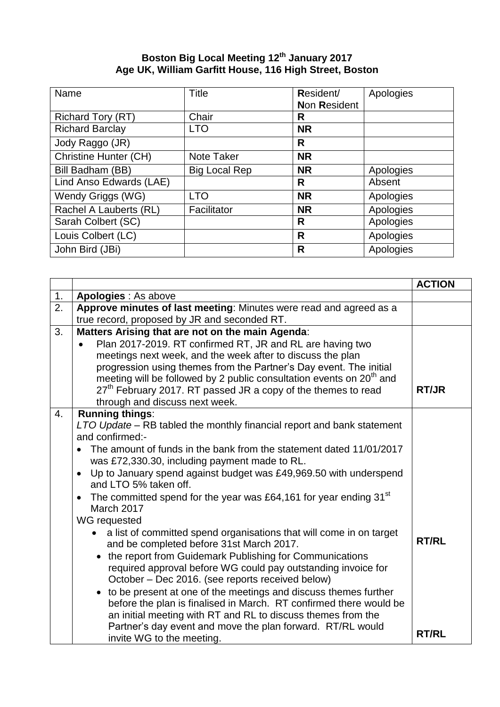## **Boston Big Local Meeting 12 th January 2017 Age UK, William Garfitt House, 116 High Street, Boston**

| Name                         | Title                | Resident/    | Apologies |
|------------------------------|----------------------|--------------|-----------|
|                              |                      | Non Resident |           |
| <b>Richard Tory (RT)</b>     | Chair                | R            |           |
| <b>Richard Barclay</b>       | <b>LTO</b>           | <b>NR</b>    |           |
| Jody Raggo (JR)              |                      | R            |           |
| <b>Christine Hunter (CH)</b> | Note Taker           | <b>NR</b>    |           |
| Bill Badham (BB)             | <b>Big Local Rep</b> | <b>NR</b>    | Apologies |
| Lind Anso Edwards (LAE)      |                      | R            | Absent    |
| Wendy Griggs (WG)            | <b>LTO</b>           | <b>NR</b>    | Apologies |
| Rachel A Lauberts (RL)       | Facilitator          | <b>NR</b>    | Apologies |
| Sarah Colbert (SC)           |                      | R            | Apologies |
| Louis Colbert (LC)           |                      | R            | Apologies |
| John Bird (JBi)              |                      | R            | Apologies |

|                  |                                                                                                                                                                                                                                                                                                                                                                                                                                                                                                                                                                                                                                                                                                                                                                                                                                                                                                                                                                                                                                                                                                                     | <b>ACTION</b>                |
|------------------|---------------------------------------------------------------------------------------------------------------------------------------------------------------------------------------------------------------------------------------------------------------------------------------------------------------------------------------------------------------------------------------------------------------------------------------------------------------------------------------------------------------------------------------------------------------------------------------------------------------------------------------------------------------------------------------------------------------------------------------------------------------------------------------------------------------------------------------------------------------------------------------------------------------------------------------------------------------------------------------------------------------------------------------------------------------------------------------------------------------------|------------------------------|
| 1.               | Apologies : As above                                                                                                                                                                                                                                                                                                                                                                                                                                                                                                                                                                                                                                                                                                                                                                                                                                                                                                                                                                                                                                                                                                |                              |
| $\overline{2}$ . | Approve minutes of last meeting: Minutes were read and agreed as a<br>true record, proposed by JR and seconded RT.                                                                                                                                                                                                                                                                                                                                                                                                                                                                                                                                                                                                                                                                                                                                                                                                                                                                                                                                                                                                  |                              |
| 3.               | Matters Arising that are not on the main Agenda:<br>Plan 2017-2019. RT confirmed RT, JR and RL are having two<br>meetings next week, and the week after to discuss the plan<br>progression using themes from the Partner's Day event. The initial<br>meeting will be followed by 2 public consultation events on 20 <sup>th</sup> and<br>27 <sup>th</sup> February 2017. RT passed JR a copy of the themes to read<br>through and discuss next week.                                                                                                                                                                                                                                                                                                                                                                                                                                                                                                                                                                                                                                                                | <b>RT/JR</b>                 |
| 4.               | <b>Running things:</b><br>LTO Update - RB tabled the monthly financial report and bank statement<br>and confirmed:-<br>The amount of funds in the bank from the statement dated 11/01/2017<br>was £72,330.30, including payment made to RL.<br>Up to January spend against budget was £49,969.50 with underspend<br>$\bullet$<br>and LTO 5% taken off.<br>The committed spend for the year was £64,161 for year ending 31 <sup>st</sup><br>$\bullet$<br>March 2017<br>WG requested<br>a list of committed spend organisations that will come in on target<br>and be completed before 31st March 2017.<br>the report from Guidemark Publishing for Communications<br>$\bullet$<br>required approval before WG could pay outstanding invoice for<br>October – Dec 2016. (see reports received below)<br>to be present at one of the meetings and discuss themes further<br>$\bullet$<br>before the plan is finalised in March. RT confirmed there would be<br>an initial meeting with RT and RL to discuss themes from the<br>Partner's day event and move the plan forward. RT/RL would<br>invite WG to the meeting. | <b>RT/RL</b><br><b>RT/RL</b> |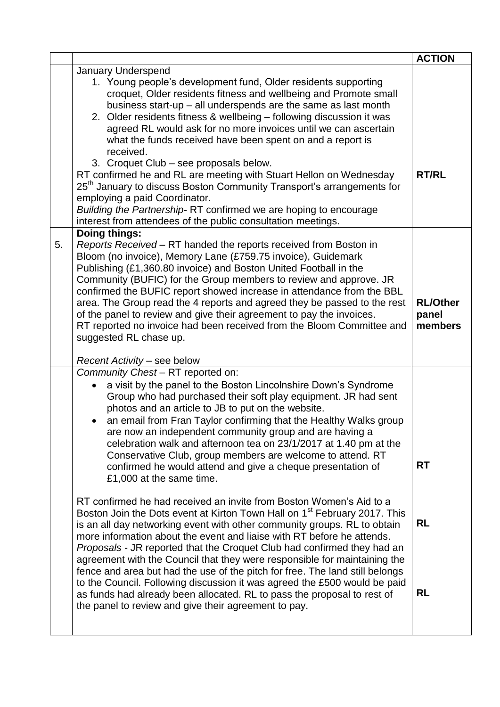|    |                                                                                                                                                                                                                                                                                                                                                                                                                                                                                                                                                                                                                                                                                                                                                                                                                                   | <b>ACTION</b>                       |
|----|-----------------------------------------------------------------------------------------------------------------------------------------------------------------------------------------------------------------------------------------------------------------------------------------------------------------------------------------------------------------------------------------------------------------------------------------------------------------------------------------------------------------------------------------------------------------------------------------------------------------------------------------------------------------------------------------------------------------------------------------------------------------------------------------------------------------------------------|-------------------------------------|
|    | <b>January Underspend</b><br>1. Young people's development fund, Older residents supporting<br>croquet, Older residents fitness and wellbeing and Promote small<br>business start-up - all underspends are the same as last month<br>2. Older residents fitness & wellbeing - following discussion it was<br>agreed RL would ask for no more invoices until we can ascertain<br>what the funds received have been spent on and a report is<br>received.<br>3. Croquet Club - see proposals below.<br>RT confirmed he and RL are meeting with Stuart Hellon on Wednesday<br>25 <sup>th</sup> January to discuss Boston Community Transport's arrangements for<br>employing a paid Coordinator.<br>Building the Partnership-RT confirmed we are hoping to encourage<br>interest from attendees of the public consultation meetings. | <b>RT/RL</b>                        |
| 5. | <b>Doing things:</b><br>Reports Received - RT handed the reports received from Boston in<br>Bloom (no invoice), Memory Lane (£759.75 invoice), Guidemark<br>Publishing (£1,360.80 invoice) and Boston United Football in the<br>Community (BUFIC) for the Group members to review and approve. JR<br>confirmed the BUFIC report showed increase in attendance from the BBL<br>area. The Group read the 4 reports and agreed they be passed to the rest<br>of the panel to review and give their agreement to pay the invoices.<br>RT reported no invoice had been received from the Bloom Committee and<br>suggested RL chase up.<br>Recent Activity - see below                                                                                                                                                                  | <b>RL/Other</b><br>panel<br>members |
|    | Community Chest - RT reported on:<br>a visit by the panel to the Boston Lincolnshire Down's Syndrome<br>Group who had purchased their soft play equipment. JR had sent<br>photos and an article to JB to put on the website.<br>an email from Fran Taylor confirming that the Healthy Walks group<br>are now an independent community group and are having a<br>celebration walk and afternoon tea on 23/1/2017 at 1.40 pm at the<br>Conservative Club, group members are welcome to attend. RT<br>confirmed he would attend and give a cheque presentation of<br>£1,000 at the same time.                                                                                                                                                                                                                                        | <b>RT</b>                           |
|    | RT confirmed he had received an invite from Boston Women's Aid to a<br>Boston Join the Dots event at Kirton Town Hall on 1 <sup>st</sup> February 2017. This<br>is an all day networking event with other community groups. RL to obtain<br>more information about the event and liaise with RT before he attends.<br><i>Proposals - JR reported that the Croquet Club had confirmed they had an</i><br>agreement with the Council that they were responsible for maintaining the<br>fence and area but had the use of the pitch for free. The land still belongs<br>to the Council. Following discussion it was agreed the £500 would be paid<br>as funds had already been allocated. RL to pass the proposal to rest of<br>the panel to review and give their agreement to pay.                                                 | <b>RL</b><br><b>RL</b>              |